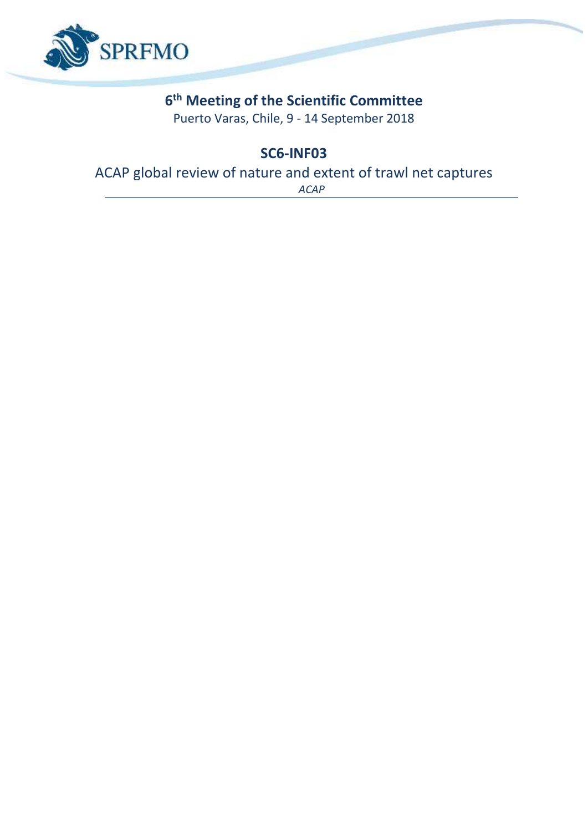

# **6 th Meeting of the Scientific Committee**

Puerto Varas, Chile, 9 - 14 September 2018

**SC6-INF03**

ACAP global review of nature and extent of trawl net captures

*ACAP*